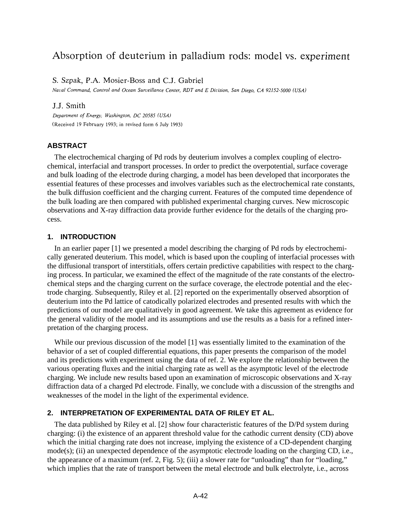# Absorption of deuterium in palladium rods: model vs. experiment

S. Szpak, P.A. Mosier-Boss and C.J. Gabriel

Naval Command, Control and Ocean Surveillance Center, RDT and E Division, San Diego, CA 92152-5000 (USA)

#### J.J. Smith

Department of Energy, Washington, DC 20585 (USA) (Received 19 February 1993; in revised form 6 July 1993)

#### **ABSTRACT**

The electrochemical charging of Pd rods by deuterium involves a complex coupling of electrochemical, interfacial and transport processes. In order to predict the overpotential, surface coverage and bulk loading of the electrode during charging, a model has been developed that incorporates the essential features of these processes and involves variables such as the electrochemical rate constants, the bulk diffusion coefficient and the charging current. Features of the computed time dependence of the bulk loading are then compared with published experimental charging curves. New microscopic observations and X-ray diffraction data provide further evidence for the details of the charging process.

#### **1. INTRODUCTION**

In an earlier paper [1] we presented a model describing the charging of Pd rods by electrochemically generated deuterium. This model, which is based upon the coupling of interfacial processes with the diffusional transport of interstitials, offers certain predictive capabilities with respect to the charging process. In particular, we examined the effect of the magnitude of the rate constants of the electrochemical steps and the charging current on the surface coverage, the electrode potential and the electrode charging. Subsequently, Riley et al. [2] reported on the experimentally observed absorption of deuterium into the Pd lattice of catodically polarized electrodes and presented results with which the predictions of our model are qualitatively in good agreement. We take this agreement as evidence for the general validity of the model and its assumptions and use the results as a basis for a refined interpretation of the charging process.

While our previous discussion of the model [1] was essentially limited to the examination of the behavior of a set of coupled differential equations, this paper presents the comparison of the model and its predictions with experiment using the data of ref. 2. We explore the relationship between the various operating fluxes and the initial charging rate as well as the asymptotic level of the electrode charging. We include new results based upon an examination of microscopic observations and X-ray diffraction data of a charged Pd electrode. Finally, we conclude with a discussion of the strengths and weaknesses of the model in the light of the experimental evidence.

## **2. INTERPRETATION OF EXPERIMENTAL DATA OF RILEY ET AL.**

The data published by Riley et al. [2] show four characteristic features of the D/Pd system during charging: (i) the existence of an apparent threshold value for the cathodic current density (CD) above which the initial charging rate does not increase, implying the existence of a CD-dependent charging mode(s); (ii) an unexpected dependence of the asymptotic electrode loading on the charging CD, i.e., the appearance of a maximum (ref. 2, Fig. 5); (iii) a slower rate for "unloading" than for "loading," which implies that the rate of transport between the metal electrode and bulk electrolyte, i.e., across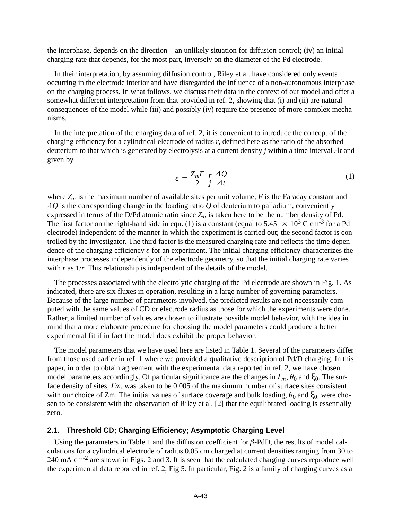the interphase, depends on the direction—an unlikely situation for diffusion control; (iv) an initial charging rate that depends, for the most part, inversely on the diameter of the Pd electrode.

In their interpretation, by assuming diffusion control, Riley et al. have considered only events occurring in the electrode interior and have disregarded the influence of a non-autonomous interphase on the charging process. In what follows, we discuss their data in the context of our model and offer a somewhat different interpretation from that provided in ref. 2, showing that (i) and (ii) are natural consequences of the model while (iii) and possibly (iv) require the presence of more complex mechanisms.

In the interpretation of the charging data of ref. 2, it is convenient to introduce the concept of the charging efficiency for a cylindrical electrode of radius *r*, defined here as the ratio of the absorbed deuterium to that which is generated by electrolysis at a current density *j* within a time interval  $\Delta t$  and given by

$$
\epsilon = \frac{Z_m F}{2} \frac{r}{j} \frac{\Delta Q}{\Delta t} \tag{1}
$$

where  $Z_m$  is the maximum number of available sites per unit volume,  $F$  is the Faraday constant and *Q* is the corresponding change in the loading ratio *Q* of deuterium to palladium, conveniently expressed in terms of the D/Pd atomic ratio since *Zm* is taken here to be the number density of Pd. The first factor on the right-hand side in eqn. (1) is a constant (equal to  $5.45 \times 10^3$  C cm<sup>-3</sup> for a Pd electrode) independent of the manner in which the experiment is carried out; the second factor is controlled by the investigator. The third factor is the measured charging rate and reflects the time dependence of the charging efficiency  $\varepsilon$  for an experiment. The initial charging efficiency characterizes the interphase processes independently of the electrode geometry, so that the initial charging rate varies with *r* as  $1/r$ . This relationship is independent of the details of the model.

The processes associated with the electrolytic charging of the Pd electrode are shown in Fig. 1. As indicated, there are six fluxes in operation, resulting in a large number of governing parameters. Because of the large number of parameters involved, the predicted results are not necessarily computed with the same values of CD or electrode radius as those for which the experiments were done. Rather, a limited number of values are chosen to illustrate possible model behavior, with the idea in mind that a more elaborate procedure for choosing the model parameters could produce a better experimental fit if in fact the model does exhibit the proper behavior.

The model parameters that we have used here are listed in Table 1. Several of the parameters differ from those used earlier in ref. 1 where we provided a qualitative description of Pd/D charging. In this paper, in order to obtain agreement with the experimental data reported in ref. 2, we have chosen model parameters accordingly. Of particular significance are the changes in  $\Gamma_m$ ,  $\theta_0$  and  $\xi_0$ . The surface density of sites,  $\Gamma m$ , was taken to be 0.005 of the maximum number of surface sites consistent with our choice of Zm. The initial values of surface coverage and bulk loading,  $\theta_0$  and  $\xi_0$ , were chosen to be consistent with the observation of Riley et al. [2] that the equilibrated loading is essentially zero.

## **2.1. Threshold CD; Charging Efficiency; Asymptotic Charging Level**

Using the parameters in Table 1 and the diffusion coefficient for  $\beta$ -PdD, the results of model calculations for a cylindrical electrode of radius 0.05 cm charged at current densities ranging from 30 to 240 mA cm-2 are shown in Figs. 2 and 3. It is seen that the calculated charging curves reproduce well the experimental data reported in ref. 2, Fig 5. In particular, Fig. 2 is a family of charging curves as a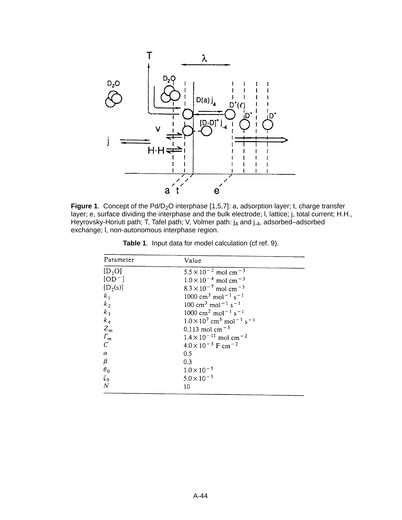

**Figure 1.** Concept of the Pd/D<sub>2</sub>O interphase [1,5,7]: a, adsorption layer; t, charge transfer layer; e, surface dividing the interphase and the bulk electrode; l, lattice; j, total current; H.H., Heyrovsky-Horiuti path; T, Tafel path; V, Volmer path: j<sub>4</sub> and j<sub>-4</sub>, adsorbed–adsorbed exchange; l, non-autonomous interphase region.

| Parameter           | Value                                                                 |
|---------------------|-----------------------------------------------------------------------|
| [D, O]              | $5.5 \times 10^{-2}$ mol cm <sup>-3</sup>                             |
| $[OD^-]$            | $1.0 \times 10^{-4}$ mol cm <sup>-3</sup>                             |
| $[D_2(s)]$          | $8.3 \times 10^{-7}$ mol cm <sup>-3</sup>                             |
| $k_1$               | $1000 \text{ cm}^3 \text{ mol}^{-1} \text{ s}^{-1}$                   |
| $k_{2}$             | $100 \text{ cm}^3 \text{ mol}^{-1} \text{ s}^{-1}$                    |
| $k_3$               | $1000 \text{ cm}^2 \text{ mol}^{-1} \text{ s}^{-1}$                   |
| $k_4$               | $1.0 \times 10^{7}$ cm <sup>3</sup> mol <sup>-1</sup> s <sup>-1</sup> |
| $Z_{\rm m}$         | 0.113 mol cm <sup><math>-3</math></sup>                               |
| $\varGamma_{\rm m}$ | $1.4 \times 10^{-11}$ mol cm <sup>-2</sup>                            |
| $\overline{C}$      | $4.0 \times 10^{-3}$ F cm <sup>-2</sup>                               |
| $\alpha$            | 0.5                                                                   |
| β                   | 0.3                                                                   |
| $\theta_0$          | $1.0 \times 10^{-5}$                                                  |
| $\zeta_0$           | $5.0 \times 10^{-5}$                                                  |
| $\overline{N}$      | 10                                                                    |

**Table 1**. Input data for model calculation (cf ref. 9).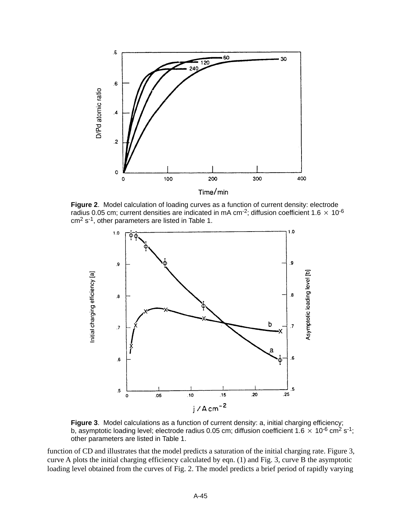

**Figure 2**. Model calculation of loading curves as a function of current density: electrode radius 0.05 cm; current densities are indicated in mA cm<sup>-2</sup>; diffusion coefficient 1.6  $\times$  10<sup>-6</sup> cm2 s-1, other parameters are listed in Table 1.



**Figure 3**. Model calculations as a function of current density: a, initial charging efficiency; b, asymptotic loading level; electrode radius 0.05 cm; diffusion coefficient 1.6  $\times$  10<sup>-6</sup> cm<sup>2</sup> s<sup>-1</sup>; other parameters are listed in Table 1.

function of CD and illustrates that the model predicts a saturation of the initial charging rate. Figure 3, curve A plots the initial charging efficiency calculated by eqn. (1) and Fig. 3, curve B the asymptotic loading level obtained from the curves of Fig. 2. The model predicts a brief period of rapidly varying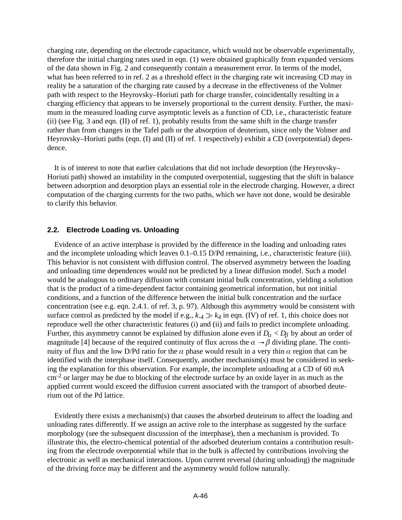charging rate, depending on the electrode capacitance, which would not be observable experimentally, therefore the initial charging rates used in eqn. (1) were obtained graphically from expanded versions of the data shown in Fig. 2 and consequently contain a measurement error. In terms of the model, what has been referred to in ref. 2 as a threshold effect in the charging rate wit increasing CD may in reality be a saturation of the charging rate caused by a decrease in the effectiveness of the Volmer path with respect to the Heyrovsky–Horiuti path for charge transfer, coincidentally resulting in a charging efficiency that appears to be inversely proportional to the current density. Further, the maximum in the measured loading curve asymptotic levels as a function of CD, i.e., characteristic feature (ii) (see Fig. 3 and eqn. (II) of ref. 1), probably results from the same shift in the charge transfer rather than from changes in the Tafel path or the absorption of deuterium, since only the Volmer and Heyrovsky–Horiuti paths (eqn. (I) and (II) of ref. 1 respectively) exhibit a CD (overpotential) dependence.

It is of interest to note that earlier calculations that did not include desorption (the Heyrovsky– Horiuti path) showed an instability in the computed overpotential, suggesting that the shift in balance between adsorption and desorption plays an essential role in the electrode charging. However, a direct computation of the charging currents for the two paths, which we have not done, would be desirable to clarify this behavior.

## **2.2. Electrode Loading vs. Unloading**

Evidence of an active interphase is provided by the difference in the loading and unloading rates and the incomplete unloading which leaves 0.1–0.15 D/Pd remaining, i.e., characteristic feature (iii). This behavior is not consistent with diffusion control. The observed asymmetry between the loading and unloading time dependences would not be predicted by a linear diffusion model. Such a model would be analogous to ordinary diffusion with constant initial bulk concentration, yielding a solution that is the product of a time-dependent factor containing geometrical information, but not initial conditions, and a function of the difference between the initial bulk concentration and the surface concentration (see e.g. eqn. 2.4.1. of ref. 3, p. 97). Although this asymmetry would be consistent with surface control as predicted by the model if e.g.,  $k_{-4} \gg k_4$  in eqn. (IV) of ref. 1, this choice does not reproduce well the other characteristic features (i) and (ii) and fails to predict incomplete unloading. Further, this asymmetry cannot be explained by diffusion alone even if  $D_{\alpha} < D_{\beta}$  by about an order of magnitude [4] because of the required continuity of flux across the  $\alpha \rightarrow \beta$  dividing plane. The continuity of flux and the low D/Pd ratio for the  $\alpha$  phase would result in a very thin  $\alpha$  region that can be identified with the interphase itself. Consequently, another mechanism(s) must be considered in seeking the explanation for this observation. For example, the incomplete unloading at a CD of 60 mA  $\text{cm}^{-2}$  or larger may be due to blocking of the electrode surface by an oxide layer in as much as the applied current would exceed the diffusion current associated with the transport of absorbed deuterium out of the Pd lattice.

Evidently there exists a mechanism(s) that causes the absorbed deuteirum to affect the loading and unloading rates differently. If we assign an active role to the interphase as suggested by the surface morphology (see the subsequent discussion of the interphase), then a mechanism is provided. To illustrate this, the electro-chemical potential of the adsorbed deuterium contains a contribution resulting from the electrode overpotential while that in the bulk is affected by contributions involving the electronic as well as mechanical interactions. Upon current reversal (during unloading) the magnitude of the driving force may be different and the asymmetry would follow naturally.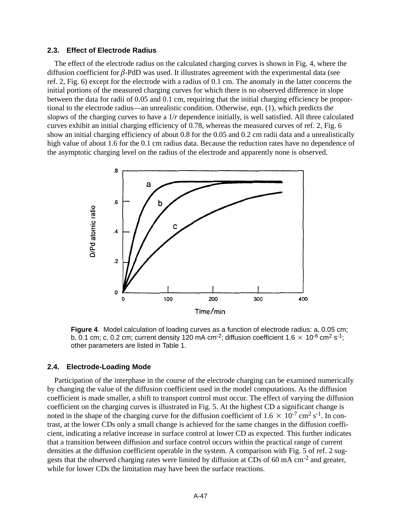### **2.3. Effect of Electrode Radius**

The effect of the electrode radius on the calculated charging curves is shown in Fig. 4, where the diffusion coefficient for  $\beta$ -PdD was used. It illustrates agreement with the experimental data (see ref. 2, Fig. 6) except for the electrode with a radius of 0.1 cm. The anomaly in the latter concerns the initial portions of the measured charging curves for which there is no observed difference in slope between the data for radii of 0.05 and 0.1 cm, requiring that the initial charging efficiency be proportional to the electrode radius—an unrealistic condition. Otherwise, eqn. (1), which predicts the slopws of the charging curves to have a 1/*r* dependence initially, is well satisfied. All three calculated curves exhibit an initial charging efficiency of 0.78, whereas the measured curves of ref. 2, Fig. 6 show an initial charging efficiency of about 0.8 for the 0.05 and 0.2 cm radii data and a unrealistically high value of about 1.6 for the 0.1 cm radius data. Because the reduction rates have no dependence of the asymptotic charging level on the radius of the electrode and apparently none is observed.



**Figure 4**. Model calculation of loading curves as a function of electrode radius: a, 0.05 cm; b, 0.1 cm; c, 0.2 cm; current density 120 mA cm<sup>-2</sup>; diffusion coefficient 1.6  $\times$  10<sup>-6</sup> cm<sup>2</sup> s<sup>-1</sup>; other parameters are listed in Table 1.

#### **2.4. Electrode-Loading Mode**

Participation of the interphase in the course of the electrode charging can be examined numerically by changing the value of the diffusion coefficient used in the model computations. As the diffusion coefficient is made smaller, a shift to transport control must occur. The effect of varying the diffusion coefficient on the charging curves is illustrated in Fig. 5. At the highest CD a significant change is noted in the shape of the charging curve for the diffusion coefficient of  $1.6 \times 10^{-7}$  cm<sup>2</sup> s<sup>-1</sup>. In contrast, at the lower CDs only a small change is achieved for the same changes in the diffusion coefficient, indicating a relative increase in surface control at lower CD as expected. This further indicates that a transition between diffusion and surface control occurs within the practical range of current densities at the diffusion coefficient operable in the system. A comparison with Fig. 5 of ref. 2 suggests that the observed charging rates were limited by diffusion at CDs of 60 mA cm<sup>-2</sup> and greater, while for lower CDs the limitation may have been the surface reactions.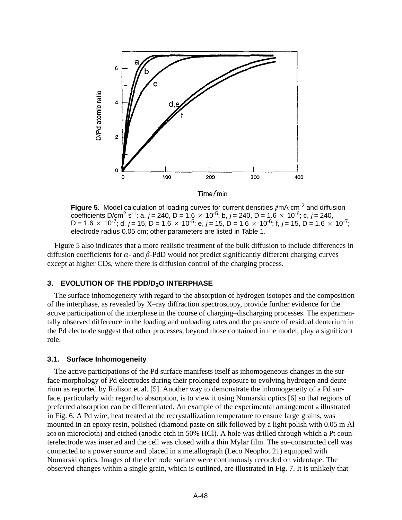

**Figure 5.** Model calculation of loading curves for current densities  $j/mA$  cm<sup>-2</sup> and diffusion coefficients D/cm<sup>2</sup> s<sup>-1</sup>: a, j = 240, D = 1.6  $\times$  10<sup>-5</sup>; b, j = 240, D = 1.6  $\times$  10<sup>-6</sup>; c, j = 240, D = 1.6  $\times$  10<sup>-7</sup>; d, j = 15, D = 1.6  $\times$  10<sup>-5</sup>; e, j = 15, D = 1.6  $\times$  10<sup>-6</sup>; f, j = 15, D = 1.6  $\times$  10<sup>-7</sup>; electrode radius 0.05 cm; other parameters are listed in Table 1.

Figure 5 also indicates that a more realistic treatment of the bulk diffusion to include differences in diffusion coefficients for  $\alpha$ - and  $\beta$ -PdD would not predict significantly different charging curves except at higher CDs, where there is diffusion control of the charging process.

## **3. EVOLUTION OF THE PDD/D<sub>2</sub>O INTERPHASE**

The surface inhomogeneity with regard to the absorption of hydrogen isotopes and the composition of the interphase, as revealed by X–ray diffraction spectroscopy, provide further evidence for the active participation of the interphase in the course of charging–discharging processes. The experimentally observed difference in the loading and unloading rates and the presence of residual deuterium in the Pd electrode suggest that other processes, beyond those contained in the model, play a significant role.

#### **3.1. Surface Inhomogeneity**

The active participations of the Pd surface manifests itself as inhomogeneous changes in the surface morphology of Pd electrodes during their prolonged exposure to evolving hydrogen and deuterium as reported by Rolison et al. [5]. Another way to demonstrate the inhomogeneity of a Pd surface, particularly with regard to absorption, is to view it using Nomarski optics [6] so that regions of preferred absorption can be differentiated. An example of the experimental arrangement is illustrated in Fig. 6. A Pd wire, heat treated at the recrystallization temperature to ensure large grains, was mounted in an epoxy resin, polished (diamond paste on silk followed by a light polish with 0.05 m Al 2O3 on microcloth) and etched (anodic etch in 50% HCl). A hole was drilled through which a Pt counterelectrode was inserted and the cell was closed with a thin Mylar film. The so–constructed cell was connected to a power source and placed in a metallograph (Leco Neophot 21) equipped with Nomarski optics. Images of the electrode surface were continuously recorded on videotape. The observed changes within a single grain, which is outlined, are illustrated in Fig. 7. It is unlikely that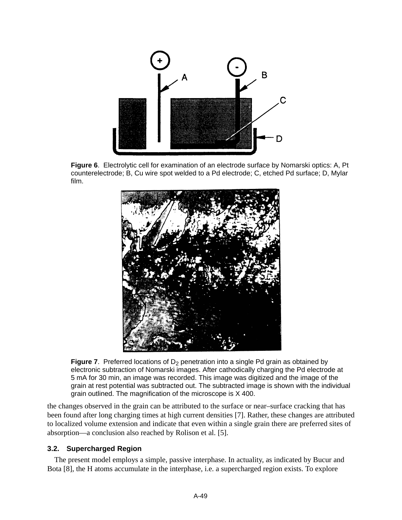

**Figure 6**. Electrolytic cell for examination of an electrode surface by Nomarski optics: A, Pt counterelectrode; B, Cu wire spot welded to a Pd electrode; C, etched Pd surface; D, Mylar film.



**Figure 7**. Preferred locations of  $D_2$  penetration into a single Pd grain as obtained by electronic subtraction of Nomarski images. After cathodically charging the Pd electrode at 5 mA for 30 min, an image was recorded. This image was digitized and the image of the grain at rest potential was subtracted out. The subtracted image is shown with the individual grain outlined. The magnification of the microscope is X 400.

the changes observed in the grain can be attributed to the surface or near–surface cracking that has been found after long charging times at high current densities [7]. Rather, these changes are attributed to localized volume extension and indicate that even within a single grain there are preferred sites of absorption—a conclusion also reached by Rolison et al. [5].

## **3.2. Supercharged Region**

The present model employs a simple, passive interphase. In actuality, as indicated by Bucur and Bota [8], the H atoms accumulate in the interphase, i.e. a supercharged region exists. To explore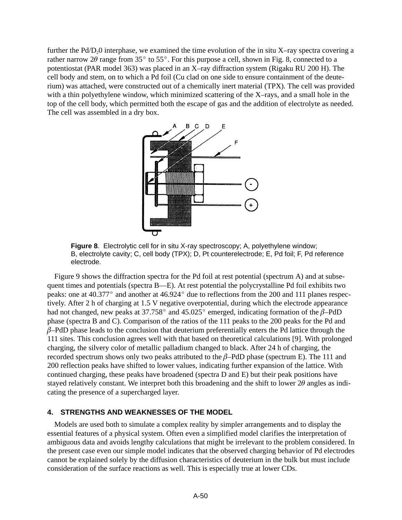further the  $Pd/D_20$  interphase, we examined the time evolution of the in situ X–ray spectra covering a rather narrow  $2\theta$  range from  $35^\circ$  to  $55^\circ$ . For this purpose a cell, shown in Fig. 8, connected to a potentiostat (PAR model 363) was placed in an X–ray diffraction system (Rigaku RU 200 H). The cell body and stem, on to which a Pd foil (Cu clad on one side to ensure containment of the deuterium) was attached, were constructed out of a chemically inert material (TPX). The cell was provided with a thin polyethylene window, which minimized scattering of the X–rays, and a small hole in the top of the cell body, which permitted both the escape of gas and the addition of electrolyte as needed. The cell was assembled in a dry box.



**Figure 8**. Electrolytic cell for in situ X-ray spectroscopy; A, polyethylene window; B, electrolyte cavity; C, cell body (TPX); D, Pt counterelectrode; E, Pd foil; F, Pd reference electrode.

Figure 9 shows the diffraction spectra for the Pd foil at rest potential (spectrum A) and at subsequent times and potentials (spectra B—E). At rest potential the polycrystalline Pd foil exhibits two peaks: one at  $40.377^{\circ}$  and another at  $46.924^{\circ}$  due to reflections from the 200 and 111 planes respectively. After 2 h of charging at 1.5 V negative overpotential, during which the electrode appearance had not changed, new peaks at 37.758 $^{\circ}$  and 45.025 $^{\circ}$  emerged, indicating formation of the  $\beta$ -PdD phase (spectra B and C). Comparison of the ratios of the 111 peaks to the 200 peaks for the Pd and  $\beta$ –PdD phase leads to the conclusion that deuterium preferentially enters the Pd lattice through the 111 sites. This conclusion agrees well with that based on theoretical calculations [9]. With prolonged charging, the silvery color of metallic palladium changed to black. After 24 h of charging, the recorded spectrum shows only two peaks attributed to the  $\beta$ -PdD phase (spectrum E). The 111 and 200 reflection peaks have shifted to lower values, indicating further expansion of the lattice. With continued charging, these peaks have broadened (spectra D and E) but their peak positions have stayed relatively constant. We interpret both this broadening and the shift to lower  $2\theta$  angles as indicating the presence of a supercharged layer.

## **4. STRENGTHS AND WEAKNESSES OF THE MODEL**

Models are used both to simulate a complex reality by simpler arrangements and to display the essential features of a physical system. Often even a simplified model clarifies the interpretation of ambiguous data and avoids lengthy calculations that might be irrelevant to the problem considered. In the present case even our simple model indicates that the observed charging behavior of Pd electrodes cannot be explained solely by the diffusion characteristics of deuterium in the bulk but must include consideration of the surface reactions as well. This is especially true at lower CDs.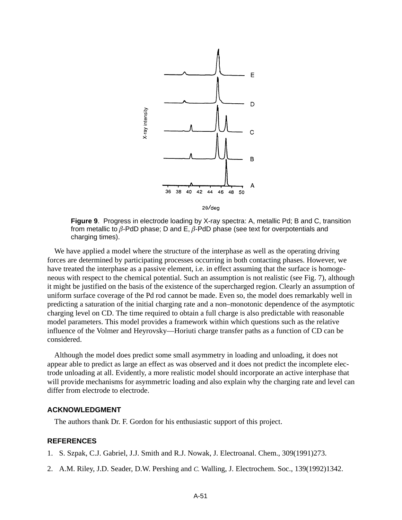

**Figure 9**. Progress in electrode loading by X-ray spectra: A, metallic Pd; B and C, transition from metallic to  $\beta$ -PdD phase; D and E,  $\beta$ -PdD phase (see text for overpotentials and charging times).

We have applied a model where the structure of the interphase as well as the operating driving forces are determined by participating processes occurring in both contacting phases. However, we have treated the interphase as a passive element, i.e. in effect assuming that the surface is homogeneous with respect to the chemical potential. Such an assumption is not realistic (see Fig. 7), although it might be justified on the basis of the existence of the supercharged region. Clearly an assumption of uniform surface coverage of the Pd rod cannot be made. Even so, the model does remarkably well in predicting a saturation of the initial charging rate and a non–monotonic dependence of the asymptotic charging level on CD. The time required to obtain a full charge is also predictable with reasonable model parameters. This model provides a framework within which questions such as the relative influence of the Volmer and Heyrovsky—Horiuti charge transfer paths as a function of CD can be considered.

Although the model does predict some small asymmetry in loading and unloading, it does not appear able to predict as large an effect as was observed and it does not predict the incomplete electrode unloading at all. Evidently, a more realistic model should incorporate an active interphase that will provide mechanisms for asymmetric loading and also explain why the charging rate and level can differ from electrode to electrode.

### **ACKNOWLEDGMENT**

The authors thank Dr. F. Gordon for his enthusiastic support of this project.

## **REFERENCES**

- 1. S. Szpak, C.J. Gabriel, J.J. Smith and R.J. Nowak, J. Electroanal. Chem., 309(1991)273.
- 2. A.M. Riley, J.D. Seader, D.W. Pershing and *C.* Walling, J. Electrochem. Soc., 139(1992)1342.